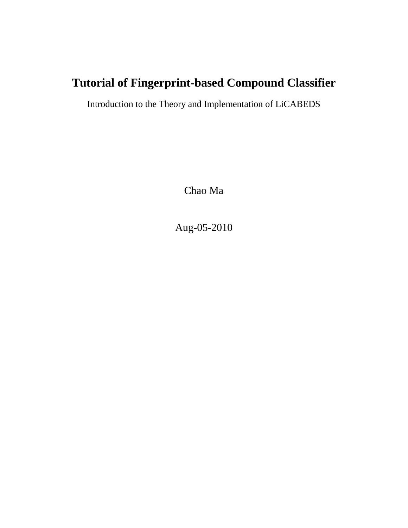# **Tutorial of Fingerprint-based Compound Classifier**

Introduction to the Theory and Implementation of LiCABEDS

Chao Ma

Aug-05-2010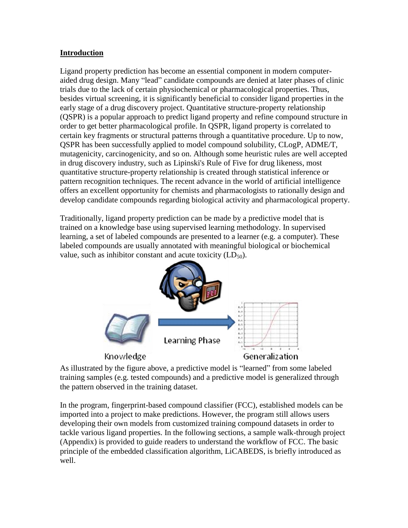## **Introduction**

Ligand property prediction has become an essential component in modern computeraided drug design. Many "lead" candidate compounds are denied at later phases of clinic trials due to the lack of certain physiochemical or pharmacological properties. Thus, besides virtual screening, it is significantly beneficial to consider ligand properties in the early stage of a drug discovery project. Quantitative structure-property relationship (QSPR) is a popular approach to predict ligand property and refine compound structure in order to get better pharmacological profile. In QSPR, ligand property is correlated to certain key fragments or structural patterns through a quantitative procedure. Up to now, QSPR has been successfully applied to model compound solubility, CLogP, ADME/T, mutagenicity, carcinogenicity, and so on. Although some heuristic rules are well accepted in drug discovery industry, such as Lipinski's Rule of Five for drug likeness, most quantitative structure-property relationship is created through statistical inference or pattern recognition techniques. The recent advance in the world of artificial intelligence offers an excellent opportunity for chemists and pharmacologists to rationally design and develop candidate compounds regarding biological activity and pharmacological property.

Traditionally, ligand property prediction can be made by a predictive model that is trained on a knowledge base using supervised learning methodology. In supervised learning, a set of labeled compounds are presented to a learner (e.g. a computer). These labeled compounds are usually annotated with meaningful biological or biochemical value, such as inhibitor constant and acute toxicity  $(LD_{50})$ .



As illustrated by the figure above, a predictive model is "learned" from some labeled training samples (e.g. tested compounds) and a predictive model is generalized through the pattern observed in the training dataset.

In the program, fingerprint-based compound classifier (FCC), established models can be imported into a project to make predictions. However, the program still allows users developing their own models from customized training compound datasets in order to tackle various ligand properties. In the following sections, a sample walk-through project (Appendix) is provided to guide readers to understand the workflow of FCC. The basic principle of the embedded classification algorithm, LiCABEDS, is briefly introduced as well.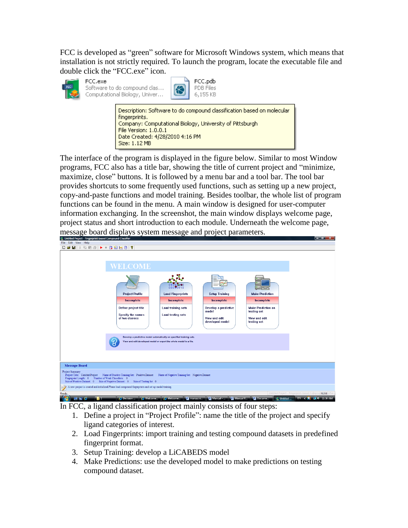FCC is developed as "green" software for Microsoft Windows system, which means that installation is not strictly required. To launch the program, locate the executable file and double click the "FCC.exe" icon.



FCC.exe Software to do compound clas... Computational Biology, Univer...



Description: Software to do compound classification based on molecular fingerprints. Company: Computational Biology, University of Pittsburgh File Version: 1.0.0.1 Date Created: 4/28/2010 4:16 PM Size: 1.12 MB

The interface of the program is displayed in the figure below. Similar to most Window programs, FCC also has a title bar, showing the title of current project and "minimize, maximize, close" buttons. It is followed by a menu bar and a tool bar. The tool bar provides shortcuts to some frequently used functions, such as setting up a new project, copy-and-paste functions and model training. Besides toolbar, the whole list of program functions can be found in the menu. A main window is designed for user-computer information exchanging. In the screenshot, the main window displays welcome page, project status and short introduction to each module. Underneath the welcome page, message board displays system message and project parameters.



In FCC, a ligand classification project mainly consists of four steps:

- 1. Define a project in "Project Profile": name the title of the project and specify ligand categories of interest.
- 2. Load Fingerprints: import training and testing compound datasets in predefined fingerprint format.
- 3. Setup Training: develop a LiCABEDS model
- 4. Make Predictions: use the developed model to make predictions on testing compound dataset.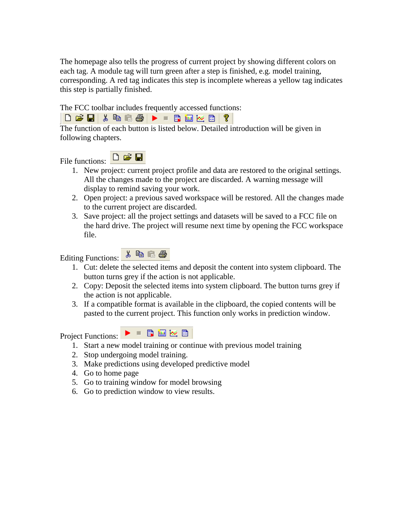The homepage also tells the progress of current project by showing different colors on each tag. A module tag will turn green after a step is finished, e.g. model training, corresponding. A red tag indicates this step is incomplete whereas a yellow tag indicates this step is partially finished.

The FCC toolbar includes frequently accessed functions:



The function of each button is listed below. Detailed introduction will be given in following chapters.



- 1. New project: current project profile and data are restored to the original settings. All the changes made to the project are discarded. A warning message will display to remind saving your work.
- 2. Open project: a previous saved workspace will be restored. All the changes made to the current project are discarded.
- 3. Save project: all the project settings and datasets will be saved to a FCC file on the hard drive. The project will resume next time by opening the FCC workspace file.

Editing Functions:



- 1. Cut: delete the selected items and deposit the content into system clipboard. The button turns grey if the action is not applicable.
- 2. Copy: Deposit the selected items into system clipboard. The button turns grey if the action is not applicable.
- 3. If a compatible format is available in the clipboard, the copied contents will be pasted to the current project. This function only works in prediction window.

Project Functions:



- 1. Start a new model training or continue with previous model training
- 2. Stop undergoing model training.
- 3. Make predictions using developed predictive model
- 4. Go to home page
- 5. Go to training window for model browsing
- 6. Go to prediction window to view results.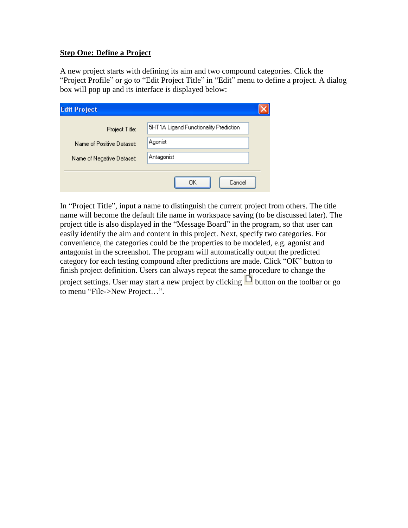#### **Step One: Define a Project**

A new project starts with defining its aim and two compound categories. Click the "Project Profile" or go to "Edit Project Title" in "Edit" menu to define a project. A dialog box will pop up and its interface is displayed below:

| <b>Edit Project</b>       |                                       |
|---------------------------|---------------------------------------|
| Project Title:            | 5HT1A Ligand Functionality Prediction |
| Name of Positive Dataset: | Agonist                               |
| Name of Negative Dataset: | Antagonist                            |
|                           | Cancel<br>OΚ                          |

In "Project Title", input a name to distinguish the current project from others. The title name will become the default file name in workspace saving (to be discussed later). The project title is also displayed in the "Message Board" in the program, so that user can easily identify the aim and content in this project. Next, specify two categories. For convenience, the categories could be the properties to be modeled, e.g. agonist and antagonist in the screenshot. The program will automatically output the predicted category for each testing compound after predictions are made. Click "OK" button to finish project definition. Users can always repeat the same procedure to change the project settings. User may start a new project by clicking  $\Box$  button on the toolbar or go to menu "File->New Project…".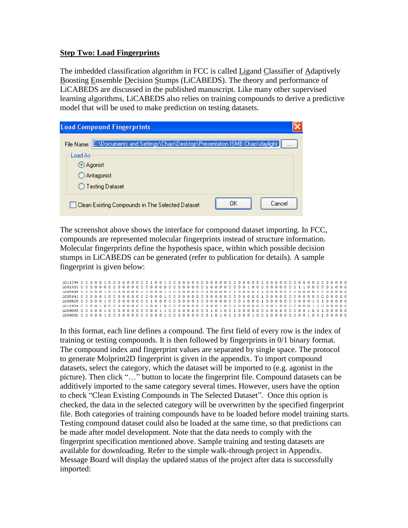### **Step Two: Load Fingerprints**

The imbedded classification algorithm in FCC is called Ligand Classifier of Adaptively Boosting Ensemble Decision Stumps (LiCABEDS). The theory and performance of LiCABEDS are discussed in the published manuscript. Like many other supervised learning algorithms, LiCABEDS also relies on training compounds to derive a predictive model that will be used to make prediction on testing datasets.

|            | <b>Load Compound Fingerprints</b>                                      |              |
|------------|------------------------------------------------------------------------|--------------|
| File Name: | C:\Documents and Settings\Chao\Desktop\Presentation ISMB Chao\daylight |              |
| Load As    |                                                                        |              |
|            | Agonist                                                                |              |
|            | Antagonist                                                             |              |
|            | ◯ Testing Dataset                                                      |              |
|            | Clean Existing Compounds in The Selected Dataset                       | OΚ<br>Cancel |

The screenshot above shows the interface for compound dataset importing. In FCC, compounds are represented molecular fingerprints instead of structure information. Molecular fingerprints define the hypothesis space, within which possible decision stumps in LiCABEDS can be generated (refer to publication for details). A sample fingerprint is given below:

| L004092 0 0 0 0 0 1 0 0 0 0 0 0 0 0 0 0 0 1 0 0 0 0 0 0 0 0 0 0 1 0 0 1 0 0 0 1 0 0 0 0 0 0 0 0 0 0 1 0 1 1 0 0 0 0 0 |  |  |  |  |  |  |  |  |  |  |  |  |  |  |  |  |  |  |  |  |  |  |  |  |  |  |
|-----------------------------------------------------------------------------------------------------------------------|--|--|--|--|--|--|--|--|--|--|--|--|--|--|--|--|--|--|--|--|--|--|--|--|--|--|

In this format, each line defines a compound. The first field of every row is the index of training or testing compounds. It is then followed by fingerprints in 0/1 binary format. The compound index and fingerprint values are separated by single space. The protocol to generate Molprint2D fingerprint is given in the appendix. To import compound datasets, select the category, which the dataset will be imported to (e.g. agonist in the picture). Then click "…" button to locate the fingerprint file. Compound datasets can be additively imported to the same category several times. However, users have the option to check "Clean Existing Compounds in The Selected Dataset". Once this option is checked, the data in the selected category will be overwritten by the specified fingerprint file. Both categories of training compounds have to be loaded before model training starts. Testing compound dataset could also be loaded at the same time, so that predictions can be made after model development. Note that the data needs to comply with the fingerprint specification mentioned above. Sample training and testing datasets are available for downloading. Refer to the simple walk-through project in Appendix. Message Board will display the updated status of the project after data is successfully imported: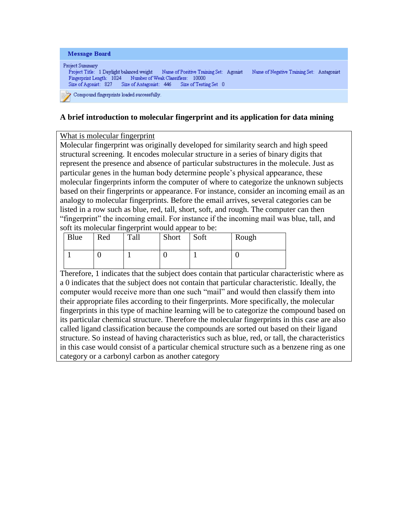| Message Board                                                                                                                                                                                                                                   |                                           |
|-------------------------------------------------------------------------------------------------------------------------------------------------------------------------------------------------------------------------------------------------|-------------------------------------------|
| Project Summary<br>Name of Positive Training Set: Agonist<br>Project Title: 1 Daylight balanced weight<br>Fingerprint Length: 1024 Number of Weak Classifiers:<br>- 10000<br>Size of Agonist: 827 Size of Antagonist: 446 Size of Testing Set 0 | Name of Negative Training Set: Antagonist |
| Compound fingerprints loaded successfully.<br>I.,                                                                                                                                                                                               |                                           |

# **A brief introduction to molecular fingerprint and its application for data mining**

#### What is molecular fingerprint

Molecular fingerprint was originally developed for similarity search and high speed structural screening. It encodes molecular structure in a series of binary digits that represent the presence and absence of particular substructures in the molecule. Just as particular genes in the human body determine people's physical appearance, these molecular fingerprints inform the computer of where to categorize the unknown subjects based on their fingerprints or appearance. For instance, consider an incoming email as an analogy to molecular fingerprints. Before the email arrives, several categories can be listed in a row such as blue, red, tall, short, soft, and rough. The computer can then "fingerprint" the incoming email. For instance if the incoming mail was blue, tall, and soft its molecular fingerprint would appear to be:

|      |     | . .  |       |      |       |  |  |  |  |
|------|-----|------|-------|------|-------|--|--|--|--|
| Blue | Red | Tall | Short | Soft | Rough |  |  |  |  |
|      |     |      |       |      |       |  |  |  |  |

Therefore, 1 indicates that the subject does contain that particular characteristic where as a 0 indicates that the subject does not contain that particular characteristic. Ideally, the computer would receive more than one such "mail" and would then classify them into their appropriate files according to their fingerprints. More specifically, the molecular fingerprints in this type of machine learning will be to categorize the compound based on its particular chemical structure. Therefore the molecular fingerprints in this case are also called ligand classification because the compounds are sorted out based on their ligand structure. So instead of having characteristics such as blue, red, or tall, the characteristics in this case would consist of a particular chemical structure such as a benzene ring as one category or a carbonyl carbon as another category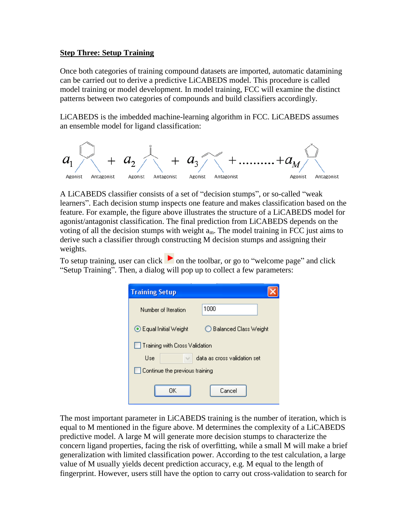#### **Step Three: Setup Training**

Once both categories of training compound datasets are imported, automatic datamining can be carried out to derive a predictive LiCABEDS model. This procedure is called model training or model development. In model training, FCC will examine the distinct patterns between two categories of compounds and build classifiers accordingly.

LiCABEDS is the imbedded machine-learning algorithm in FCC. LiCABEDS assumes an ensemble model for ligand classification:



A LiCABEDS classifier consists of a set of "decision stumps", or so-called "weak learners". Each decision stump inspects one feature and makes classification based on the feature. For example, the figure above illustrates the structure of a LiCABEDS model for agonist/antagonist classification. The final prediction from LiCABEDS depends on the voting of all the decision stumps with weight  $a_m$ . The model training in FCC just aims to derive such a classifier through constructing M decision stumps and assigning their weights.

To setup training, user can click  $\bullet$  on the toolbar, or go to "welcome page" and click "Setup Training". Then, a dialog will pop up to collect a few parameters:

| <b>Training Setup</b>          |                              |  |  |  |  |  |
|--------------------------------|------------------------------|--|--|--|--|--|
| Number of Iteration            | 1000                         |  |  |  |  |  |
| ⊙ Equal Initial Weight         | ◯ Balanced Class Weight      |  |  |  |  |  |
| Training with Cross Validation |                              |  |  |  |  |  |
| Use                            | data as cross validation set |  |  |  |  |  |
| Continue the previous training |                              |  |  |  |  |  |
| OΚ                             | Cancel                       |  |  |  |  |  |

The most important parameter in LiCABEDS training is the number of iteration, which is equal to M mentioned in the figure above. M determines the complexity of a LiCABEDS predictive model. A large M will generate more decision stumps to characterize the concern ligand properties, facing the risk of overfitting, while a small M will make a brief generalization with limited classification power. According to the test calculation, a large value of M usually yields decent prediction accuracy, e.g. M equal to the length of fingerprint. However, users still have the option to carry out cross-validation to search for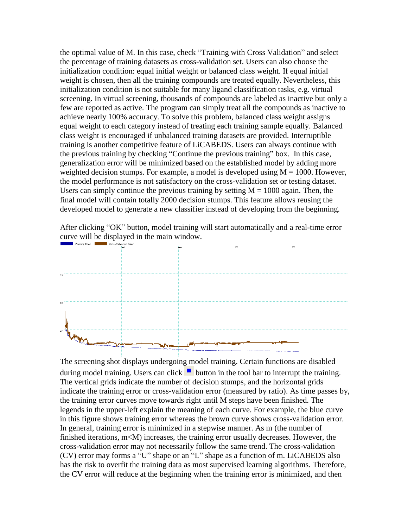the optimal value of M. In this case, check "Training with Cross Validation" and select the percentage of training datasets as cross-validation set. Users can also choose the initialization condition: equal initial weight or balanced class weight. If equal initial weight is chosen, then all the training compounds are treated equally. Nevertheless, this initialization condition is not suitable for many ligand classification tasks, e.g. virtual screening. In virtual screening, thousands of compounds are labeled as inactive but only a few are reported as active. The program can simply treat all the compounds as inactive to achieve nearly 100% accuracy. To solve this problem, balanced class weight assigns equal weight to each category instead of treating each training sample equally. Balanced class weight is encouraged if unbalanced training datasets are provided. Interruptible training is another competitive feature of LiCABEDS. Users can always continue with the previous training by checking "Continue the previous training" box. In this case, generalization error will be minimized based on the established model by adding more weighted decision stumps. For example, a model is developed using  $M = 1000$ . However, the model performance is not satisfactory on the cross-validation set or testing dataset. Users can simply continue the previous training by setting  $M = 1000$  again. Then, the final model will contain totally 2000 decision stumps. This feature allows reusing the developed model to generate a new classifier instead of developing from the beginning.

After clicking "OK" button, model training will start automatically and a real-time error curve will be displayed in the main window.



The screening shot displays undergoing model training. Certain functions are disabled during model training. Users can click  $\blacksquare$  button in the tool bar to interrupt the training. The vertical grids indicate the number of decision stumps, and the horizontal grids indicate the training error or cross-validation error (measured by ratio). As time passes by, the training error curves move towards right until M steps have been finished. The legends in the upper-left explain the meaning of each curve. For example, the blue curve in this figure shows training error whereas the brown curve shows cross-validation error. In general, training error is minimized in a stepwise manner. As m (the number of finished iterations, m<M) increases, the training error usually decreases. However, the cross-validation error may not necessarily follow the same trend. The cross-validation (CV) error may forms a "U" shape or an "L" shape as a function of m. LiCABEDS also has the risk to overfit the training data as most supervised learning algorithms. Therefore, the CV error will reduce at the beginning when the training error is minimized, and then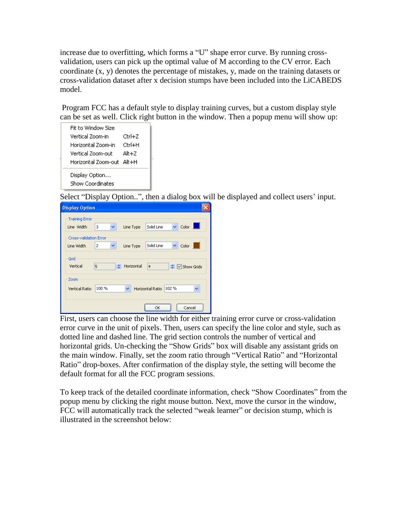increase due to overfitting, which forms a "U" shape error curve. By running crossvalidation, users can pick up the optimal value of M according to the CV error. Each coordinate (x, y) denotes the percentage of mistakes, y, made on the training datasets or cross-validation dataset after x decision stumps have been included into the LiCABEDS model.

Program FCC has a default style to display training curves, but a custom display style can be set as well. Click right button in the window. Then a popup menu will show up:

| Fit to Window Size                 |        |
|------------------------------------|--------|
| Vertical Zoom-ini                  | Ctrl+Z |
| Horizontal Zoom-in                 | Ctrl+H |
| Vertical Zoom-out                  | Alt+7  |
| Horizontal Zoom-out - Alt+H        |        |
| Display Option<br>Show Coordinates |        |

Select "Display Option..", then a dialog box will be displayed and collect users' input.

| <b>Display Option</b>                                                                          |
|------------------------------------------------------------------------------------------------|
| <b>Training Error</b><br>Color<br>Solid Line<br>$\vee$<br>Line Width<br>3<br>v<br>Line Type    |
| <b>Cross-validation Error</b><br>v<br>v<br>Solid Line<br>Color<br>2<br>Line Width<br>Line Type |
| Grid<br>Horizontal<br>Vertical<br>5<br>٠<br>$\overline{4}$<br>↓ Ø Show Grids                   |
| Zoom<br>102%<br>100%<br>Horizontal Ratio<br>v<br>Vertical Ratio<br>v                           |
| OK<br>Cancel                                                                                   |

First, users can choose the line width for either training error curve or cross-validation error curve in the unit of pixels. Then, users can specify the line color and style, such as dotted line and dashed line. The grid section controls the number of vertical and horizontal grids. Un-checking the "Show Grids" box will disable any assistant grids on the main window. Finally, set the zoom ratio through "Vertical Ratio" and "Horizontal Ratio" drop-boxes. After confirmation of the display style, the setting will become the default format for all the FCC program sessions.

To keep track of the detailed coordinate information, check "Show Coordinates" from the popup menu by clicking the right mouse button. Next, move the cursor in the window, FCC will automatically track the selected "weak learner" or decision stump, which is illustrated in the screenshot below: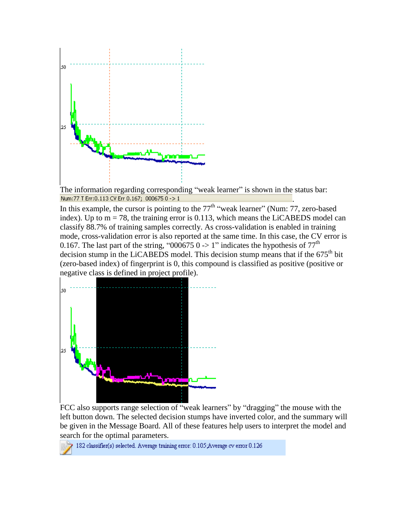

The information regarding corresponding "weak learner" is shown in the status bar:<br>Num:77 I Err:0.113 CV Err 0.167; 000675 0 -> 1 .

In this example, the cursor is pointing to the  $77<sup>th</sup>$  "weak learner" (Num: 77, zero-based index). Up to  $m = 78$ , the training error is 0.113, which means the LiCABEDS model can classify 88.7% of training samples correctly. As cross-validation is enabled in training mode, cross-validation error is also reported at the same time. In this case, the CV error is 0.167. The last part of the string, "000675 0 -> 1" indicates the hypothesis of  $77<sup>th</sup>$ decision stump in the LiCABEDS model. This decision stump means that if the  $675<sup>th</sup>$  bit (zero-based index) of fingerprint is 0, this compound is classified as positive (positive or negative class is defined in project profile).



FCC also supports range selection of "weak learners" by "dragging" the mouse with the left button down. The selected decision stumps have inverted color, and the summary will be given in the Message Board. All of these features help users to interpret the model and search for the optimal parameters.

182 classifier(s) selected. Average training error: 0.105;Average cv error 0.126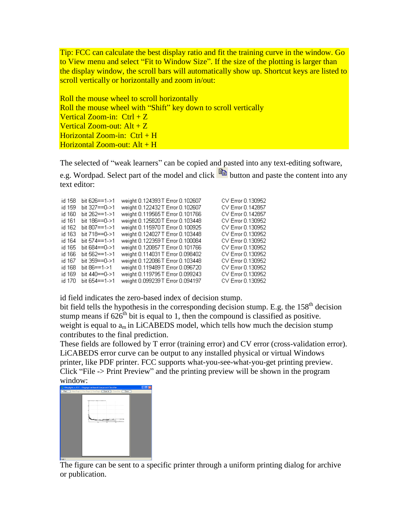Tip: FCC can calculate the best display ratio and fit the training curve in the window. Go to View menu and select "Fit to Window Size". If the size of the plotting is larger than the display window, the scroll bars will automatically show up. Shortcut keys are listed to scroll vertically or horizontally and zoom in/out:

Roll the mouse wheel to scroll horizontally Roll the mouse wheel with "Shift" key down to scroll vertically Vertical Zoom-in:  $Ctrl + Z$ Vertical Zoom-out:  $Alt + Z$ Horizontal Zoom-in:  $Ctrl + H$ Horizontal Zoom-out:  $Alt + H$ 

The selected of "weak learners" can be copied and pasted into any text-editing software,

e.g. Wordpad. Select part of the model and click  $\Box$  button and paste the content into any text editor:

| id 158 | bit 626==1->1        | weight 0.124393T Error 0.102607  | CV Error 0.130952 |
|--------|----------------------|----------------------------------|-------------------|
| id 159 | bit $327 == 0. > 1$  | weight 0.122432 T Error 0.102607 | CV Error 0.142857 |
| id 160 | bit $262 == 1 - > 1$ | weight 0.119565T Error 0.101766  | CV Error 0.142857 |
| id 161 | bit 186==0->1        | weight 0.125820T Error 0.103448  | CV Error 0.130952 |
| id 162 | bit $807 == 1 - > 1$ | weight 0.115970 T Error 0.100925 | CV Error 0.130952 |
| id 163 | bit 718==0->1        | weight 0.124027 T Error 0.103448 | CV Error 0.130952 |
| id 164 | bit $574 == 1 - > 1$ | weight 0.122359 T Error 0.100084 | CV Error 0.130952 |
| id 165 | bit 684==0->1        | weight 0.120857 T Error 0.101766 | CV Error 0.130952 |
| id 166 | bit 562==1->1        | weight 0.114031 T Error 0.098402 | CV Error 0.130952 |
| id 167 | bit 359==0->1        | weight 0.122086 T Error 0.103448 | CV Error 0.130952 |
| id 168 | bit 86==1->1         | weight 0.119489T Error 0.096720  | CV Error 0.130952 |
| id 169 | bit 440==0->1        | weight 0.119795 T Error 0.099243 | CV Error 0.130952 |
| id 170 | bit 654==1->1        | weight 0.099239 T Error 0.094197 | CV Error 0.130952 |

id field indicates the zero-based index of decision stump.

bit field tells the hypothesis in the corresponding decision stump. E.g. the 158<sup>th</sup> decision stump means if  $626<sup>th</sup>$  bit is equal to 1, then the compound is classified as positive. weight is equal to  $a_m$  in LiCABEDS model, which tells how much the decision stump contributes to the final prediction.

These fields are followed by T error (training error) and CV error (cross-validation error). LiCABEDS error curve can be output to any installed physical or virtual Windows printer, like PDF printer. FCC supports what-you-see-what-you-get printing preview. Click "File -> Print Preview" and the printing preview will be shown in the program window:

| 1 Daylight cv.FCC - Fingerprint-based Compound Classifier<br>s |  |
|----------------------------------------------------------------|--|
| Pint. Next Page Piev Page Two Page Zoom In Zoom Dut   Close    |  |
|                                                                |  |
| The Value of the American State Selection State                |  |
|                                                                |  |
|                                                                |  |
|                                                                |  |
|                                                                |  |
|                                                                |  |
|                                                                |  |
|                                                                |  |
|                                                                |  |
|                                                                |  |
|                                                                |  |
|                                                                |  |
|                                                                |  |
|                                                                |  |
|                                                                |  |

The figure can be sent to a specific printer through a uniform printing dialog for archive or publication.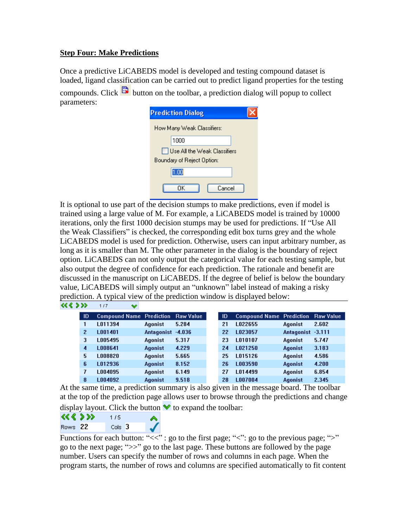## **Step Four: Make Predictions**

Once a predictive LiCABEDS model is developed and testing compound dataset is loaded, ligand classification can be carried out to predict ligand properties for the testing compounds. Click  $\Box$  button on the toolbar, a prediction dialog will popup to collect parameters:

| <b>Prediction Dialog</b>     |  |
|------------------------------|--|
| How Many Weak Classifiers:   |  |
| 1000                         |  |
| Use All the Weak Classifiers |  |
| Boundary of Reject Option:   |  |
| $1.00\,$                     |  |
| Cancel<br>ΠK                 |  |

It is optional to use part of the decision stumps to make predictions, even if model is trained using a large value of M. For example, a LiCABEDS model is trained by 10000 iterations, only the first 1000 decision stumps may be used for predictions. If "Use All the Weak Classifiers" is checked, the corresponding edit box turns grey and the whole LiCABEDS model is used for prediction. Otherwise, users can input arbitrary number, as long as it is smaller than M. The other parameter in the dialog is the boundary of reject option. LiCABEDS can not only output the categorical value for each testing sample, but also output the degree of confidence for each prediction. The rationale and benefit are discussed in the manuscript on LiCABEDS. If the degree of belief is below the boundary value, LiCABEDS will simply output an "unknown" label instead of making a risky prediction. A typical view of the prediction window is displayed below: **KK & >>>** 1/7  $\bullet$ 

| ID             | <b>Compound Name Prediction</b> |                   | <b>Raw Value</b> | ID | <b>Compound Name Prediction</b> |                   | <b>Raw Value</b> |
|----------------|---------------------------------|-------------------|------------------|----|---------------------------------|-------------------|------------------|
|                | L011394                         | <b>Agonist</b>    | 5.284            | 21 | L022655                         | Agonist           | 2.602            |
| $\overline{2}$ | L001401                         | Antagonist -4.036 |                  | 22 | L023057                         | Antagonist -3.111 |                  |
| 3              | L005495                         | Agonist           | 5.317            | 23 | L010107                         | Agonist           | 5.747            |
| 4              | L008641                         | <b>Agonist</b>    | 4.229            | 24 | 1021250                         | Agonist           | 3.183            |
| 5              | 008820                          | Agonist           | 5.665            | 25 | L015126                         | Agonist           | 4.586            |
| ĥ              | L012936                         | <b>Agonist</b>    | 8.152            | 26 | L003590                         | <b>Agonist</b>    | 4.200            |
| 7              | 004095                          | Agonist           | 6.149            | 27 | L014499                         | Agonist           | 6.854            |
| 8              | LO04092                         | <b>Agonist</b>    | 9.518            | 28 | L007004                         | <b>Agonist</b>    | 2.345            |

At the same time, a prediction summary is also given in the message board. The toolbar at the top of the prediction page allows user to browse through the predictions and change display layout. Click the button  $\blacktriangleright$  to expand the toolbar:

```
<< < >>>
          1/5
```
Functions for each button: " $<<$ ": go to the first page; " $<<$ ": go to the previous page; " $>>$ " go to the next page; ">>" go to the last page. These buttons are followed by the page number. Users can specify the number of rows and columns in each page. When the program starts, the number of rows and columns are specified automatically to fit content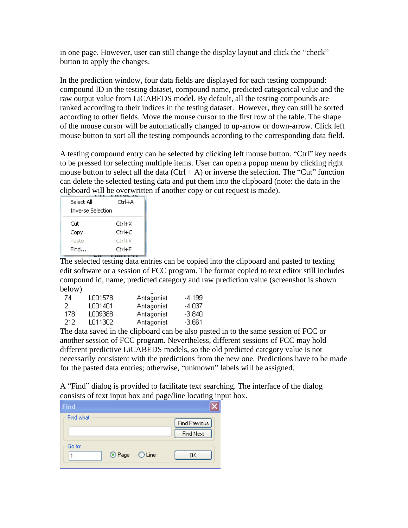in one page. However, user can still change the display layout and click the "check" button to apply the changes.

In the prediction window, four data fields are displayed for each testing compound: compound ID in the testing dataset, compound name, predicted categorical value and the raw output value from LiCABEDS model. By default, all the testing compounds are ranked according to their indices in the testing dataset. However, they can still be sorted according to other fields. Move the mouse cursor to the first row of the table. The shape of the mouse cursor will be automatically changed to up-arrow or down-arrow. Click left mouse button to sort all the testing compounds according to the corresponding data field.

A testing compound entry can be selected by clicking left mouse button. "Ctrl" key needs to be pressed for selecting multiple items. User can open a popup menu by clicking right mouse button to select all the data  $(Ctrl + A)$  or inverse the selection. The "Cut" function can delete the selected testing data and put them into the clipboard (note: the data in the clipboard will be overwritten if another copy or cut request is made).

| Select All               | Ctrl+A |
|--------------------------|--------|
| <b>Inverse Selection</b> |        |
| Cut                      | Ctrl+X |
| Copy                     | Ctrl+C |
| Paste                    | Ctrl+V |
| Find                     | Ctrl+F |
|                          |        |

The selected testing data entries can be copied into the clipboard and pasted to texting edit software or a session of FCC program. The format copied to text editor still includes compound id, name, predicted category and raw prediction value (screenshot is shown below)

| 74  | LO01578 | Antagonist | -4.199   |
|-----|---------|------------|----------|
| 2   | L001401 | Antagonist | -4.037   |
| 178 | L009388 | Antagonist | -3.840   |
| 212 | LO11302 | Antagonist | $-3.661$ |

The data saved in the clipboard can be also pasted in to the same session of FCC or another session of FCC program. Nevertheless, different sessions of FCC may hold different predictive LiCABEDS models, so the old predicted category value is not necessarily consistent with the predictions from the new one. Predictions have to be made for the pasted data entries; otherwise, "unknown" labels will be assigned.

A "Find" dialog is provided to facilitate text searching. The interface of the dialog consists of text input box and page/line locating input box.

| <b>Find</b> |               |                                   |
|-------------|---------------|-----------------------------------|
| Find what:  |               | Find Previous<br><b>Find Next</b> |
| Go to:      | ⊙ Page ○ Line | 0K.                               |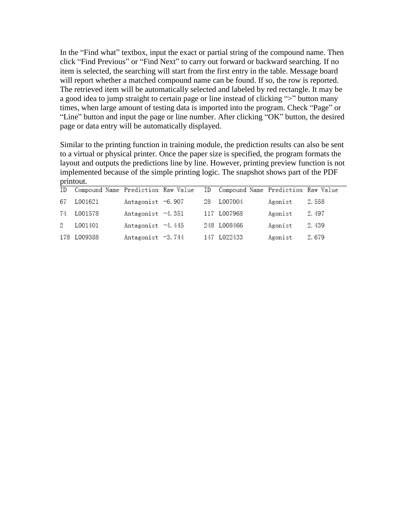In the "Find what" textbox, input the exact or partial string of the compound name. Then click "Find Previous" or "Find Next" to carry out forward or backward searching. If no item is selected, the searching will start from the first entry in the table. Message board will report whether a matched compound name can be found. If so, the row is reported. The retrieved item will be automatically selected and labeled by red rectangle. It may be a good idea to jump straight to certain page or line instead of clicking ">" button many times, when large amount of testing data is imported into the program. Check "Page" or "Line" button and input the page or line number. After clicking "OK" button, the desired page or data entry will be automatically displayed.

Similar to the printing function in training module, the prediction results can also be sent to a virtual or physical printer. Once the paper size is specified, the program formats the layout and outputs the predictions line by line. However, printing preview function is not implemented because of the simple printing logic. The snapshot shows part of the PDF printout.

| ID Compound Name Prediction Raw Value ID Compound Name Prediction Raw Value |                     |  |             |               |       |
|-----------------------------------------------------------------------------|---------------------|--|-------------|---------------|-------|
| 67 L001621                                                                  | Antagonist -6.907   |  | 28 L007004  | Agonist 2.558 |       |
| 74 L001578                                                                  | Antagonist $-4.351$ |  | 117 L007968 | Agonist       | 2.497 |
| 2 L001401                                                                   | Antagonist $-4.445$ |  | 248 L008466 | Agonist       | 2.439 |
| 178 L009388                                                                 | Antagonist -3.744   |  | 147 L022433 | Agonist 2.679 |       |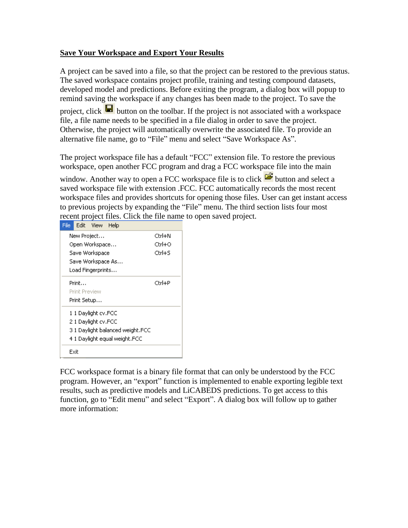## **Save Your Workspace and Export Your Results**

A project can be saved into a file, so that the project can be restored to the previous status. The saved workspace contains project profile, training and testing compound datasets, developed model and predictions. Before exiting the program, a dialog box will popup to remind saving the workspace if any changes has been made to the project. To save the project, click  $\blacksquare$  button on the toolbar. If the project is not associated with a workspace file, a file name needs to be specified in a file dialog in order to save the project.

Otherwise, the project will automatically overwrite the associated file. To provide an alternative file name, go to "File" menu and select "Save Workspace As".

The project workspace file has a default "FCC" extension file. To restore the previous workspace, open another FCC program and drag a FCC workspace file into the main

window. Another way to open a FCC workspace file is to click  $\mathbb{E}$  button and select a saved workspace file with extension .FCC. FCC automatically records the most recent workspace files and provides shortcuts for opening those files. User can get instant access to previous projects by expanding the "File" menu. The third section lists four most recent project files. Click the file name to open saved project.

| File |                      | Edit View           | Help |                                 |        |
|------|----------------------|---------------------|------|---------------------------------|--------|
|      |                      | New Project         |      |                                 | Ctrl+N |
|      |                      | Open Workspace      |      |                                 | Ctrl+O |
|      |                      | Save Workspace      |      |                                 | Ctrl+S |
|      |                      | Save Workspace As…  |      |                                 |        |
|      |                      | Load Fingerprints   |      |                                 |        |
|      | Print                |                     |      |                                 | Ctrl+P |
|      | <b>Print Preview</b> |                     |      |                                 |        |
|      | Print Setup          |                     |      |                                 |        |
|      |                      | 1 1 Daylight cv.FCC |      |                                 |        |
|      |                      | 2.1 Daylight cv.FCC |      |                                 |        |
|      |                      |                     |      | 31 Daylight balanced weight.FCC |        |
|      |                      |                     |      | 4 1 Daylight egual weight.FCC   |        |
|      | Exit                 |                     |      |                                 |        |

FCC workspace format is a binary file format that can only be understood by the FCC program. However, an "export" function is implemented to enable exporting legible text results, such as predictive models and LiCABEDS predictions. To get access to this function, go to "Edit menu" and select "Export". A dialog box will follow up to gather more information: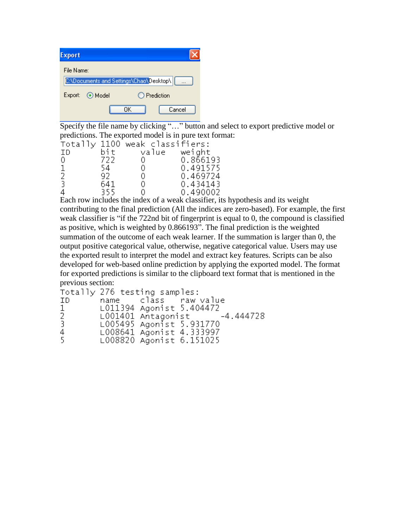| Export     |                                         |    |              |
|------------|-----------------------------------------|----|--------------|
| File Name: |                                         |    |              |
|            | C:\Documents and Settings\Chao\Desktop\ |    |              |
| Export:    | ⊙ Model                                 |    | ◯ Prediction |
|            |                                         | ΠK | Cancel       |

Specify the file name by clicking "..." button and select to export predictive model or predictions. The exported model is in pure text format:

|     |      | Totally 1100 weak classifiers: |              |
|-----|------|--------------------------------|--------------|
| ID. | bitl |                                | value weight |
| 0   | 722. | 0                              | 0.866193     |
| 1   | 54.  | 0                              | 0.491575     |
| 2   | 92.  | 0                              | 0.469724     |
| -3  | 641  | 0                              | 0.434143     |
| 4   | 355. |                                | 0.490002     |

Each row includes the index of a weak classifier, its hypothesis and its weight contributing to the final prediction (All the indices are zero-based). For example, the first weak classifier is "if the 722nd bit of fingerprint is equal to 0, the compound is classified as positive, which is weighted by 0.866193". The final prediction is the weighted summation of the outcome of each weak learner. If the summation is larger than 0, the output positive categorical value, otherwise, negative categorical value. Users may use the exported result to interpret the model and extract key features. Scripts can be also developed for web-based online prediction by applying the exported model. The format for exported predictions is similar to the clipboard text format that is mentioned in the previous section:

```
Totally 276 testing samples:
                                   raw value
ID
           name
                       class
\begin{array}{c} 1 \\ 2 \\ 3 \end{array}L011394 Agonist 5.404472
           L001401 Antagonist<br>L005495 Agonist 5.931770
                                               -4.444728\frac{4}{5}L008641 Agonist 4.333997
           L008820 Agonist 6.151025
```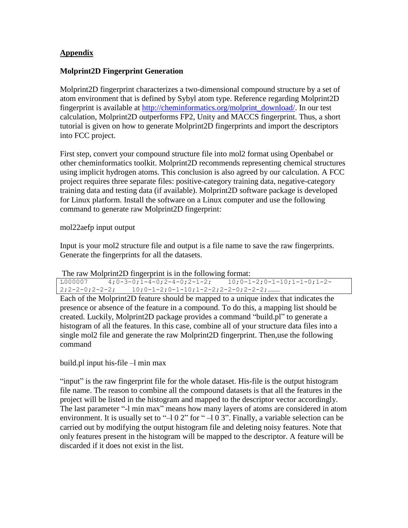#### **Appendix**

#### **Molprint2D Fingerprint Generation**

Molprint2D fingerprint characterizes a two-dimensional compound structure by a set of atom environment that is defined by Sybyl atom type. Reference regarding Molprint2D fingerprint is available at [http://cheminformatics.org/molprint\\_download/.](http://cheminformatics.org/molprint_download/) In our test calculation, Molprint2D outperforms FP2, Unity and MACCS fingerprint. Thus, a short tutorial is given on how to generate Molprint2D fingerprints and import the descriptors into FCC project.

First step, convert your compound structure file into mol2 format using Openbabel or other cheminformatics toolkit. Molprint2D recommends representing chemical structures using implicit hydrogen atoms. This conclusion is also agreed by our calculation. A FCC project requires three separate files: positive-category training data, negative-category training data and testing data (if available). Molprint2D software package is developed for Linux platform. Install the software on a Linux computer and use the following command to generate raw Molprint2D fingerprint:

mol22aefp input output

Input is your mol2 structure file and output is a file name to save the raw fingerprints. Generate the fingerprints for all the datasets.

The raw Molprint2D fingerprint is in the following format:

 $L_{000007}$  4;0-3-0;1-4-0;2-4-0;2-1-2; 10;0-1-2;0-1-10;1-1-0;1-2-2;2-2-0;2-2-2; 10;0-1-2;0-1-10;1-2-2;2-2-0;2-2-2;………

Each of the Molprint2D feature should be mapped to a unique index that indicates the presence or absence of the feature in a compound. To do this, a mapping list should be created. Luckily, Molprint2D package provides a command "build.pl" to generate a histogram of all the features. In this case, combine all of your structure data files into a single mol2 file and generate the raw Molprint2D fingerprint. Then,use the following command

build.pl input his-file –l min max

"input" is the raw fingerprint file for the whole dataset. His-file is the output histogram file name. The reason to combine all the compound datasets is that all the features in the project will be listed in the histogram and mapped to the descriptor vector accordingly. The last parameter "-l min max" means how many layers of atoms are considered in atom environment. It is usually set to " $-102$ " for " $-103$ ". Finally, a variable selection can be carried out by modifying the output histogram file and deleting noisy features. Note that only features present in the histogram will be mapped to the descriptor. A feature will be discarded if it does not exist in the list.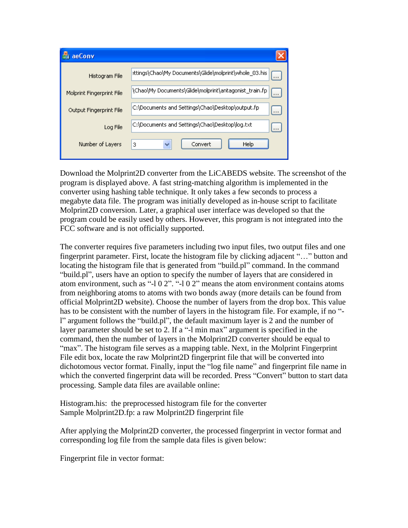| aeConv                    |                                                                      |
|---------------------------|----------------------------------------------------------------------|
| Histogram File            | :ttings\Chao\My Documents\Glide\molprint\whole_03.his<br>$\cdots$    |
| Molprint Fingerprint File | \Chao\My Documents\Glide\molprint\antagonist_train.fp<br>$1$ and $2$ |
| Output Fingerprint File   | C:\Documents and Settings\Chao\Desktop\output.fp<br>$\cdots$         |
| Log File                  | C:\Documents and Settings\Chao\Desktop\log.txt<br>$\cdots$           |
| Number of Layers          | Help<br>Convert<br>3                                                 |

Download the Molprint2D converter from the LiCABEDS website. The screenshot of the program is displayed above. A fast string-matching algorithm is implemented in the converter using hashing table technique. It only takes a few seconds to process a megabyte data file. The program was initially developed as in-house script to facilitate Molprint2D conversion. Later, a graphical user interface was developed so that the program could be easily used by others. However, this program is not integrated into the FCC software and is not officially supported.

The converter requires five parameters including two input files, two output files and one fingerprint parameter. First, locate the histogram file by clicking adjacent "..." button and locating the histogram file that is generated from "build.pl" command. In the command "build.pl", users have an option to specify the number of layers that are considered in atom environment, such as "-l 0 2". "-l 0 2" means the atom environment contains atoms from neighboring atoms to atoms with two bonds away (more details can be found from official Molprint2D website). Choose the number of layers from the drop box. This value has to be consistent with the number of layers in the histogram file. For example, if no " l" argument follows the "build.pl", the default maximum layer is 2 and the number of layer parameter should be set to 2. If a "-l min max" argument is specified in the command, then the number of layers in the Molprint2D converter should be equal to "max". The histogram file serves as a mapping table. Next, in the Molprint Fingerprint File edit box, locate the raw Molprint2D fingerprint file that will be converted into dichotomous vector format. Finally, input the "log file name" and fingerprint file name in which the converted fingerprint data will be recorded. Press "Convert" button to start data processing. Sample data files are available online:

Histogram.his: the preprocessed histogram file for the converter Sample Molprint2D.fp: a raw Molprint2D fingerprint file

After applying the Molprint2D converter, the processed fingerprint in vector format and corresponding log file from the sample data files is given below:

Fingerprint file in vector format: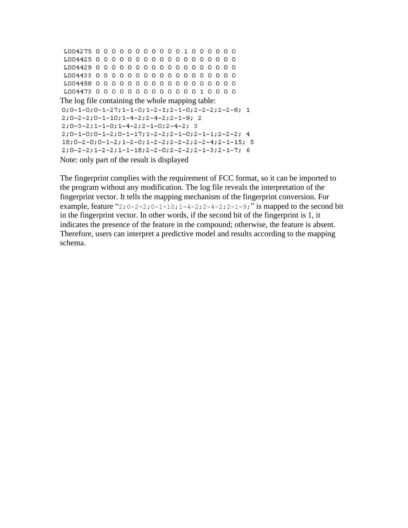```
L004275 0 0 0 0 0 0 0 0 0 0 0 1 0 0 0 0 0 0
L004425 0 0 0 0 0 0 0 0 0 0 0 0 0 0 0 0 0 0
L004473 0 0 0 0 0 0 0 0 0 0 0 0 0 0 1 0 0 0 0
The log file containing the whole mapping table:
0; 0-1-0; 0-1-27; 1-1-0; 1-2-1; 2-1-0; 2-2-2; 2-2-8; 12; 0-2-2; 0-1-10; 1-4-2; 2-4-2; 2-1-9; 2
2; 0-3-2; 1-1-0; 1-4-2; 2-1-0; 2-4-2; 3
2;0-1-0;0-1-2;0-1-17;1-2-2;2-1-0;2-1-1;2-2-2; 4
18; 0-2-0; 0-1-2; 1-2-0; 1-2-2; 2-2-2; 2-2-4; 2-1-15; 5
2; 0-2-2; 1-2-2; 1-1-18; 2-2-0; 2-2-2; 2-1-3; 2-1-7; 6Note: only part of the result is displayed
```
The fingerprint complies with the requirement of FCC format, so it can be imported to the program without any modification. The log file reveals the interpretation of the fingerprint vector. It tells the mapping mechanism of the fingerprint conversion. For example, feature "2;  $0-2-2$ ;  $0-1-10$ ;  $1-4-2$ ;  $2-4-2$ ;  $2-1-9$ ; " is mapped to the second bit in the fingerprint vector. In other words, if the second bit of the fingerprint is 1, it indicates the presence of the feature in the compound; otherwise, the feature is absent. Therefore, users can interpret a predictive model and results according to the mapping schema.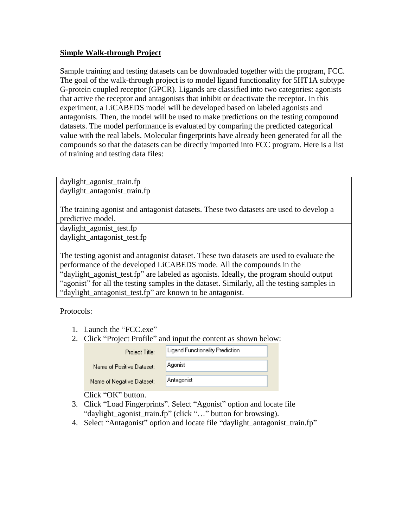### **Simple Walk-through Project**

Sample training and testing datasets can be downloaded together with the program, FCC. The goal of the walk-through project is to model ligand functionality for 5HT1A subtype G-protein coupled receptor (GPCR). Ligands are classified into two categories: agonists that active the receptor and antagonists that inhibit or deactivate the receptor. In this experiment, a LiCABEDS model will be developed based on labeled agonists and antagonists. Then, the model will be used to make predictions on the testing compound datasets. The model performance is evaluated by comparing the predicted categorical value with the real labels. Molecular fingerprints have already been generated for all the compounds so that the datasets can be directly imported into FCC program. Here is a list of training and testing data files:

daylight\_agonist\_train.fp daylight\_antagonist\_train.fp

The training agonist and antagonist datasets. These two datasets are used to develop a predictive model.

daylight\_agonist\_test.fp daylight\_antagonist\_test.fp

The testing agonist and antagonist dataset. These two datasets are used to evaluate the performance of the developed LiCABEDS mode. All the compounds in the "daylight\_agonist\_test.fp" are labeled as agonists. Ideally, the program should output "agonist" for all the testing samples in the dataset. Similarly, all the testing samples in "daylight\_antagonist\_test.fp" are known to be antagonist.

Protocols:

- 1. Launch the "FCC.exe"
- 2. Click "Project Profile" and input the content as shown below:

| Project Title:            | Ligand Functionality Prediction |
|---------------------------|---------------------------------|
| Name of Positive Dataset: | Agonist                         |
| Name of Negative Dataset: | Antagonist                      |

Click "OK" button.

- 3. Click "Load Fingerprints". Select "Agonist" option and locate file "daylight\_agonist\_train.fp" (click "…" button for browsing).
- 4. Select "Antagonist" option and locate file "daylight\_antagonist\_train.fp"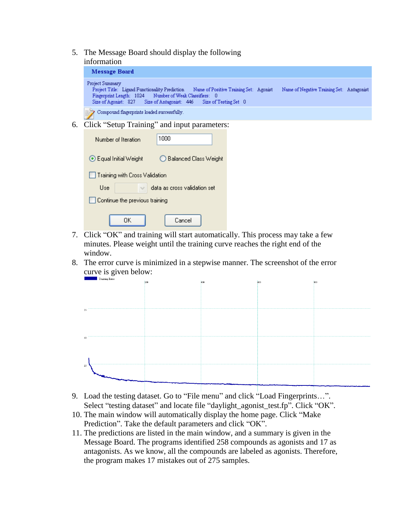- 5. The Message Board should display the following
	- information

| Message Board                                                                                                                                                                                                                               |                                           |
|---------------------------------------------------------------------------------------------------------------------------------------------------------------------------------------------------------------------------------------------|-------------------------------------------|
| Project Summary<br>Project Title: Ligand Functionality Prediction<br>Name of Positive Training Set: Agonist<br>Fingerprint Length: 1024 Number of Weak Classifiers: 0<br>Size of Agonist: 827 Size of Antagonist: 446 Size of Testing Set 0 | Name of Negative Training Set: Antagonist |
| Compound fingerprints loaded successfully.<br>B)                                                                                                                                                                                            |                                           |

6. Click "Setup Training" and input parameters:

| 1000<br>Number of Iteration                             |
|---------------------------------------------------------|
| $\odot$ Equal Initial Weight<br>◯ Balanced Class Weight |
| Training with Cross Validation                          |
| <b>Hse</b><br>data as cross validation set              |
| Continue the previous training                          |
| Cancel<br>OΚ                                            |

- 7. Click "OK" and training will start automatically. This process may take a few minutes. Please weight until the training curve reaches the right end of the window.
- 8. The error curve is minimized in a stepwise manner. The screenshot of the error curve is given below:



- 9. Load the testing dataset. Go to "File menu" and click "Load Fingerprints…". Select "testing dataset" and locate file "daylight\_agonist\_test.fp". Click "OK".
- 10. The main window will automatically display the home page. Click "Make Prediction". Take the default parameters and click "OK".
- 11. The predictions are listed in the main window, and a summary is given in the Message Board. The programs identified 258 compounds as agonists and 17 as antagonists. As we know, all the compounds are labeled as agonists. Therefore, the program makes 17 mistakes out of 275 samples.